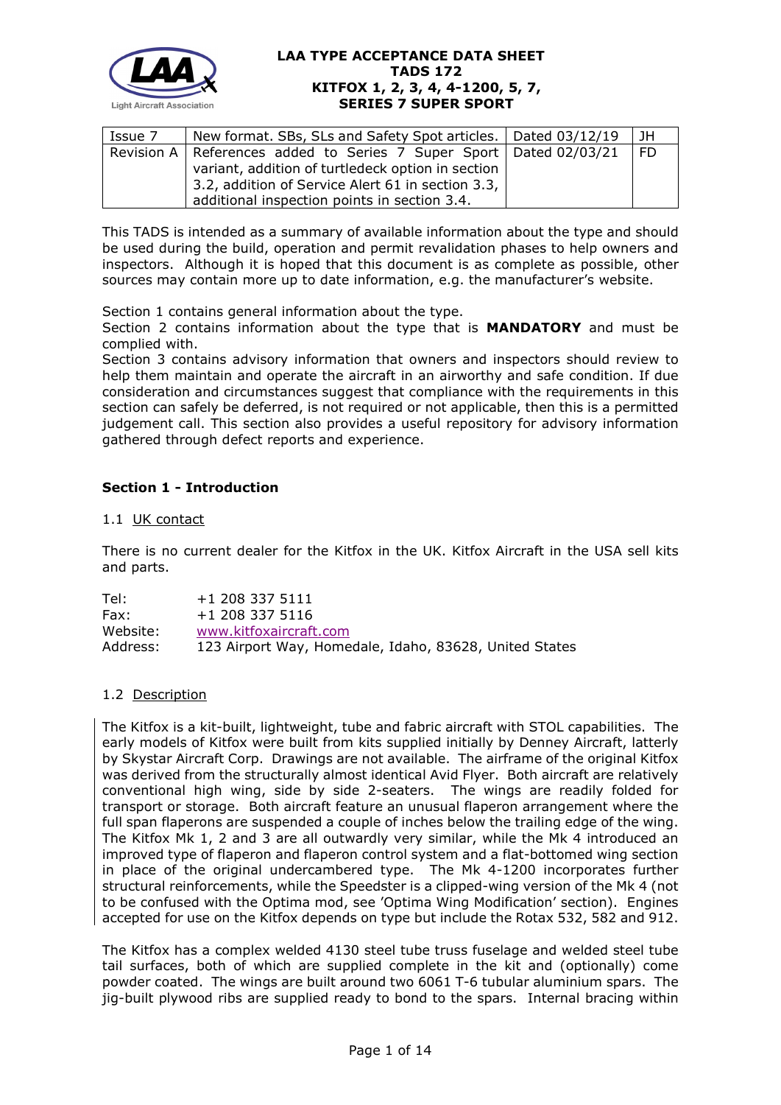

| Issue 7 | New format. SBs, SLs and Safety Spot articles.   Dated 03/12/19                                                                                                                                                                  |  | I JH |
|---------|----------------------------------------------------------------------------------------------------------------------------------------------------------------------------------------------------------------------------------|--|------|
|         | Revision A   References added to Series 7 Super Sport   Dated 02/03/21<br>variant, addition of turtledeck option in section<br>3.2, addition of Service Alert 61 in section 3.3,<br>additional inspection points in section 3.4. |  | I FD |

This TADS is intended as a summary of available information about the type and should be used during the build, operation and permit revalidation phases to help owners and inspectors. Although it is hoped that this document is as complete as possible, other sources may contain more up to date information, e.g. the manufacturer's website.

Section 1 contains general information about the type.

Section 2 contains information about the type that is **MANDATORY** and must be complied with.

Section 3 contains advisory information that owners and inspectors should review to help them maintain and operate the aircraft in an airworthy and safe condition. If due consideration and circumstances suggest that compliance with the requirements in this section can safely be deferred, is not required or not applicable, then this is a permitted judgement call. This section also provides a useful repository for advisory information gathered through defect reports and experience.

# **Section 1 - Introduction**

#### 1.1 UK contact

There is no current dealer for the Kitfox in the UK. Kitfox Aircraft in the USA sell kits and parts.

Tel: +1 208 337 5111 Fax: +1 208 337 5116 Website: [www.kitfoxaircraft.com](http://www.kitfoxaircraft.com/) Address: 123 Airport Way, Homedale, Idaho, 83628, United States

#### 1.2 Description

The Kitfox is a kit-built, lightweight, tube and fabric aircraft with STOL capabilities. The early models of Kitfox were built from kits supplied initially by Denney Aircraft, latterly by Skystar Aircraft Corp. Drawings are not available. The airframe of the original Kitfox was derived from the structurally almost identical Avid Flyer. Both aircraft are relatively conventional high wing, side by side 2-seaters. The wings are readily folded for transport or storage. Both aircraft feature an unusual flaperon arrangement where the full span flaperons are suspended a couple of inches below the trailing edge of the wing. The Kitfox Mk 1, 2 and 3 are all outwardly very similar, while the Mk 4 introduced an improved type of flaperon and flaperon control system and a flat-bottomed wing section in place of the original undercambered type. The Mk 4-1200 incorporates further structural reinforcements, while the Speedster is a clipped-wing version of the Mk 4 (not to be confused with the Optima mod, see 'Optima Wing Modification' section). Engines accepted for use on the Kitfox depends on type but include the Rotax 532, 582 and 912.

The Kitfox has a complex welded 4130 steel tube truss fuselage and welded steel tube tail surfaces, both of which are supplied complete in the kit and (optionally) come powder coated. The wings are built around two 6061 T-6 tubular aluminium spars. The jig-built plywood ribs are supplied ready to bond to the spars. Internal bracing within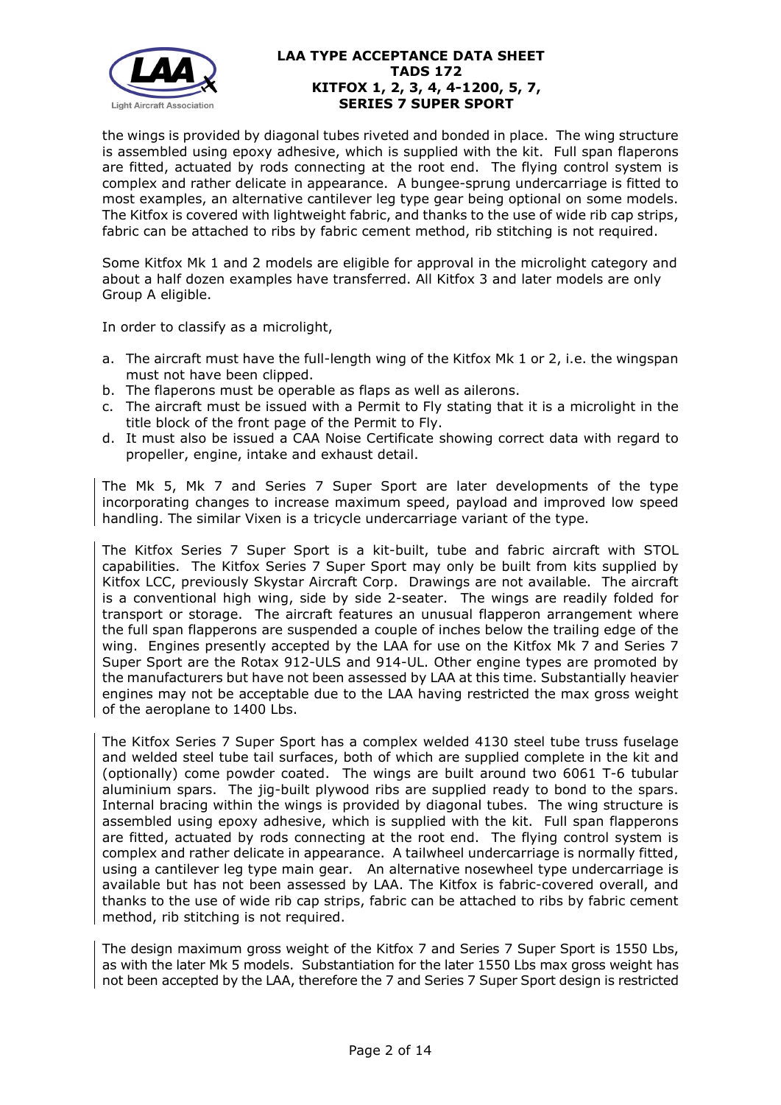

the wings is provided by diagonal tubes riveted and bonded in place. The wing structure is assembled using epoxy adhesive, which is supplied with the kit. Full span flaperons are fitted, actuated by rods connecting at the root end. The flying control system is complex and rather delicate in appearance. A bungee-sprung undercarriage is fitted to most examples, an alternative cantilever leg type gear being optional on some models. The Kitfox is covered with lightweight fabric, and thanks to the use of wide rib cap strips, fabric can be attached to ribs by fabric cement method, rib stitching is not required.

Some Kitfox Mk 1 and 2 models are eligible for approval in the microlight category and about a half dozen examples have transferred. All Kitfox 3 and later models are only Group A eligible.

In order to classify as a microlight,

- a. The aircraft must have the full-length wing of the Kitfox Mk 1 or 2, i.e. the wingspan must not have been clipped.
- b. The flaperons must be operable as flaps as well as ailerons.
- c. The aircraft must be issued with a Permit to Fly stating that it is a microlight in the title block of the front page of the Permit to Fly.
- d. It must also be issued a CAA Noise Certificate showing correct data with regard to propeller, engine, intake and exhaust detail.

The Mk 5, Mk 7 and Series 7 Super Sport are later developments of the type incorporating changes to increase maximum speed, payload and improved low speed handling. The similar Vixen is a tricycle undercarriage variant of the type.

The Kitfox Series 7 Super Sport is a kit-built, tube and fabric aircraft with STOL capabilities. The Kitfox Series 7 Super Sport may only be built from kits supplied by Kitfox LCC, previously Skystar Aircraft Corp. Drawings are not available. The aircraft is a conventional high wing, side by side 2-seater. The wings are readily folded for transport or storage. The aircraft features an unusual flapperon arrangement where the full span flapperons are suspended a couple of inches below the trailing edge of the wing. Engines presently accepted by the LAA for use on the Kitfox Mk 7 and Series 7 Super Sport are the Rotax 912-ULS and 914-UL. Other engine types are promoted by the manufacturers but have not been assessed by LAA at this time. Substantially heavier engines may not be acceptable due to the LAA having restricted the max gross weight of the aeroplane to 1400 Lbs.

The Kitfox Series 7 Super Sport has a complex welded 4130 steel tube truss fuselage and welded steel tube tail surfaces, both of which are supplied complete in the kit and (optionally) come powder coated. The wings are built around two 6061 T-6 tubular aluminium spars. The jig-built plywood ribs are supplied ready to bond to the spars. Internal bracing within the wings is provided by diagonal tubes. The wing structure is assembled using epoxy adhesive, which is supplied with the kit. Full span flapperons are fitted, actuated by rods connecting at the root end. The flying control system is complex and rather delicate in appearance. A tailwheel undercarriage is normally fitted, using a cantilever leg type main gear. An alternative nosewheel type undercarriage is available but has not been assessed by LAA. The Kitfox is fabric-covered overall, and thanks to the use of wide rib cap strips, fabric can be attached to ribs by fabric cement method, rib stitching is not required.

The design maximum gross weight of the Kitfox 7 and Series 7 Super Sport is 1550 Lbs, as with the later Mk 5 models. Substantiation for the later 1550 Lbs max gross weight has not been accepted by the LAA, therefore the 7 and Series 7 Super Sport design is restricted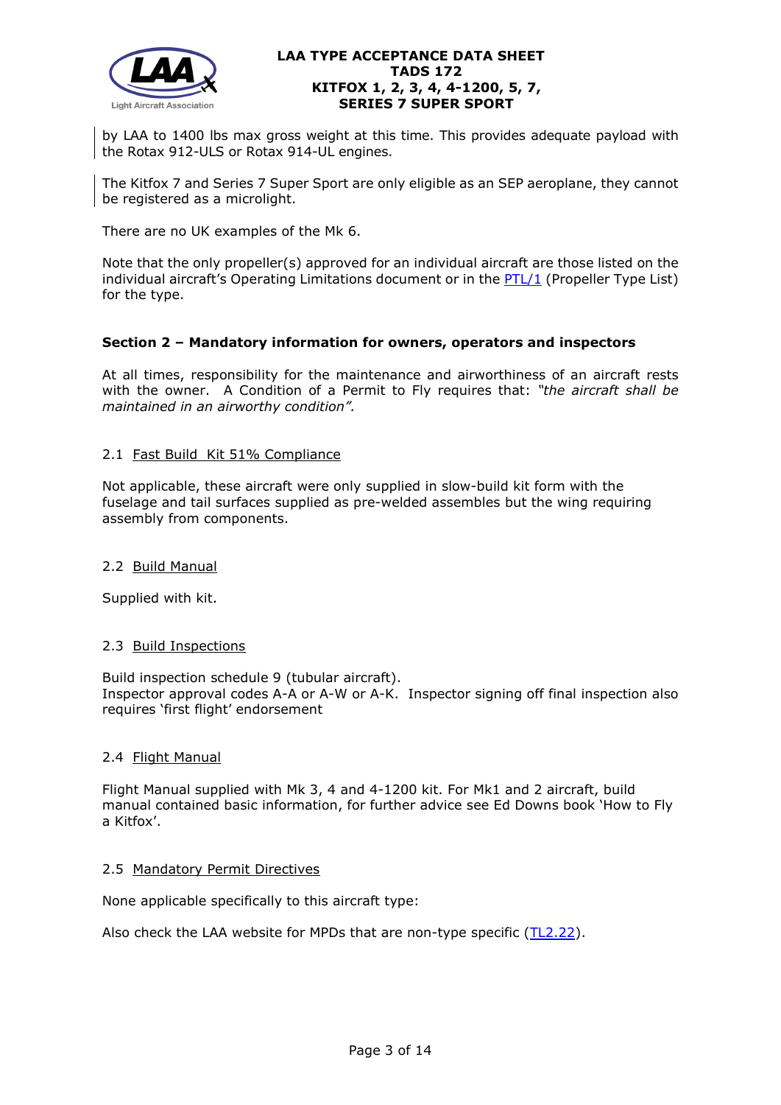

by LAA to 1400 lbs max gross weight at this time. This provides adequate payload with the Rotax 912-ULS or Rotax 914-UL engines.

The Kitfox 7 and Series 7 Super Sport are only eligible as an SEP aeroplane, they cannot be registered as a microlight.

There are no UK examples of the Mk 6.

Note that the only propeller(s) approved for an individual aircraft are those listed on the individual aircraft's Operating Limitations document or in the  $PTL/1$  (Propeller Type List) for the type.

#### **Section 2 – Mandatory information for owners, operators and inspectors**

At all times, responsibility for the maintenance and airworthiness of an aircraft rests with the owner. A Condition of a Permit to Fly requires that: *"the aircraft shall be maintained in an airworthy condition".* 

#### 2.1 Fast Build Kit 51% Compliance

Not applicable, these aircraft were only supplied in slow-build kit form with the fuselage and tail surfaces supplied as pre-welded assembles but the wing requiring assembly from components.

#### 2.2 Build Manual

Supplied with kit.

#### 2.3 Build Inspections

Build inspection schedule 9 (tubular aircraft). Inspector approval codes A-A or A-W or A-K. Inspector signing off final inspection also requires 'first flight' endorsement

#### 2.4 Flight Manual

Flight Manual supplied with Mk 3, 4 and 4-1200 kit. For Mk1 and 2 aircraft, build manual contained basic information, for further advice see Ed Downs book 'How to Fly a Kitfox'.

#### 2.5 Mandatory Permit Directives

None applicable specifically to this aircraft type:

Also check the LAA website for MPDs that are non-type specific [\(TL2.22\)](http://www.lightaircraftassociation.co.uk/engineering/TechnicalLeaflets/Operating%20An%20Aircraft/TL%202.22%20non-type%20specific%20MPDs.pdf).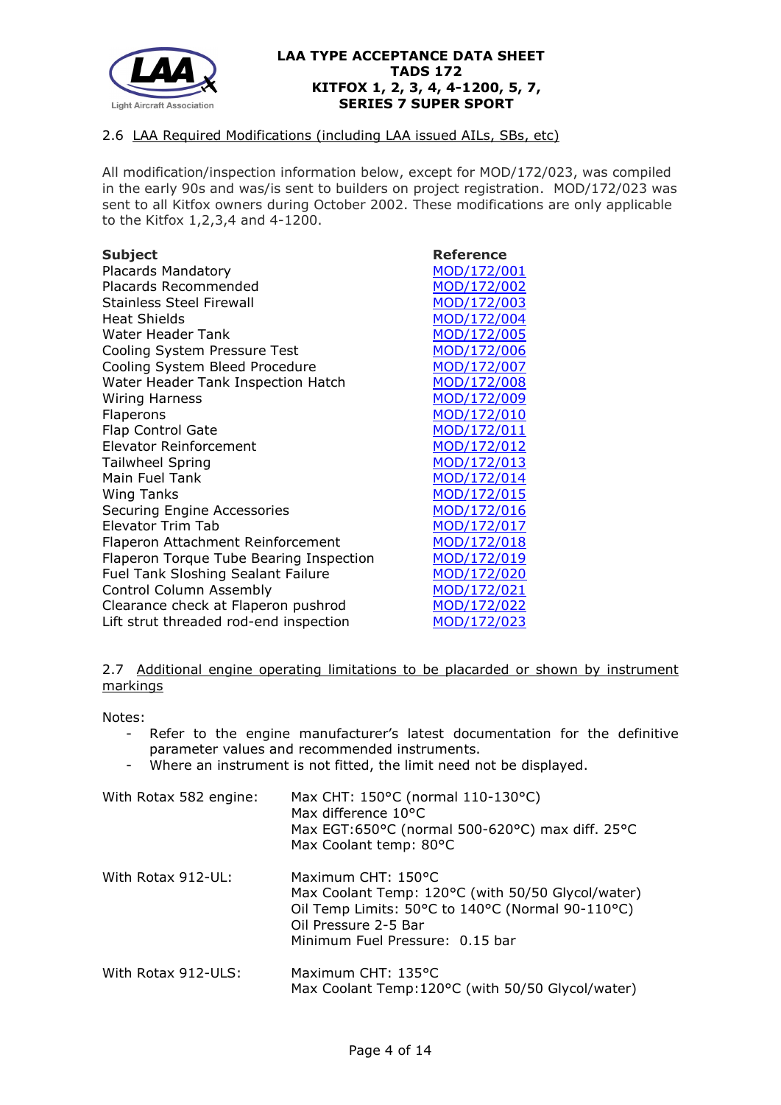

## 2.6 LAA Required Modifications (including LAA issued AILs, SBs, etc)

All modification/inspection information below, except for MOD/172/023, was compiled in the early 90s and was/is sent to builders on project registration. MOD/172/023 was sent to all Kitfox owners during October 2002. These modifications are only applicable to the Kitfox 1,2,3,4 and 4-1200.

Placards Mandatory<br>
Placards Recommended<br>
MOD/172/002 Placards Recommended Stainless Steel Firewall [MOD/172/003](http://www.lightaircraftassociation.co.uk/engineering/TADs/172/172-003.pdf) Heat Shields [MOD/172/004](http://www.lightaircraftassociation.co.uk/engineering/TADs/172/172-004.pdf) Water Header Tank [MOD/172/005](http://www.lightaircraftassociation.co.uk/engineering/TADs/172/172-005.pdf) Cooling System Pressure Test [MOD/172/006](http://www.lightaircraftassociation.co.uk/engineering/TADs/172/172-006.pdf)<br>Cooling System Bleed Procedure MOD/172/007 Cooling System Bleed Procedure Water Header Tank Inspection Hatch [MOD/172/008](https://lightaircraftassociation.sharepoint.com/sites/Engineering/Shared%20Documents/TADS/172%20DEN172/172-008.pdf) Wiring Harness [MOD/172/009](http://www.lightaircraftassociation.co.uk/engineering/TADs/172/172-009.pdf) Flaperons [MOD/172/010](http://www.lightaircraftassociation.co.uk/engineering/TADs/172/172-010.pdf) Flap Control Gate [MOD/172/011](http://www.lightaircraftassociation.co.uk/engineering/TADs/172/172-011.pdf) Elevator Reinforcement [MOD/172/012](http://www.lightaircraftassociation.co.uk/engineering/TADs/172/172-012.pdf) Tailwheel Spring [MOD/172/013](http://www.lightaircraftassociation.co.uk/engineering/TADs/172/172-013.pdf) Main Fuel Tank [MOD/172/014](http://www.lightaircraftassociation.co.uk/engineering/TADs/172/172-014.pdf) Wing Tanks [MOD/172/015](http://www.lightaircraftassociation.co.uk/engineering/TADs/172/172-015.pdf) Securing Engine Accessories [MOD/172/016](http://www.lightaircraftassociation.co.uk/engineering/TADs/172/172-016.pdf) Elevator Trim Tab [MOD/172/017](http://www.lightaircraftassociation.co.uk/engineering/TADs/172/172-017.pdf) Flaperon Attachment Reinforcement [MOD/172/018](http://www.lightaircraftassociation.co.uk/engineering/TADs/172/172-018.pdf) Flaperon Torque Tube Bearing Inspection [MOD/172/019](http://www.lightaircraftassociation.co.uk/engineering/TADs/172/172-019.pdf)<br>Fuel Tank Sloshing Sealant Failure MOD/172/020 Fuel Tank Sloshing Sealant Failure Control Column Assembly [MOD/172/021](http://www.lightaircraftassociation.co.uk/engineering/TADs/172/172-021.pdf) Clearance check at Flaperon pushrod [MOD/172/022](http://www.lightaircraftassociation.co.uk/engineering/TADs/172/172-022.pdf) Lift strut threaded rod-end inspection [MOD/172/023](http://www.lightaircraftassociation.co.uk/engineering/TADs/172/172-023.pdf)

**Subject Reference**

2.7 Additional engine operating limitations to be placarded or shown by instrument markings

Notes:

- Refer to the engine manufacturer's latest documentation for the definitive parameter values and recommended instruments.
- Where an instrument is not fitted, the limit need not be displayed.

| With Rotax 582 engine: | Max CHT: 150°C (normal 110-130°C)<br>Max difference 10°C<br>Max EGT:650°C (normal 500-620°C) max diff. 25°C<br>Max Coolant temp: 80°C                                                  |
|------------------------|----------------------------------------------------------------------------------------------------------------------------------------------------------------------------------------|
| With Rotax 912-UL:     | Maximum CHT: 150°C<br>Max Coolant Temp: 120°C (with 50/50 Glycol/water)<br>Oil Temp Limits: 50°C to 140°C (Normal 90-110°C)<br>Oil Pressure 2-5 Bar<br>Minimum Fuel Pressure: 0.15 bar |
| With Rotax 912-ULS:    | Maximum CHT: 135°C<br>Max Coolant Temp: 120°C (with 50/50 Glycol/water)                                                                                                                |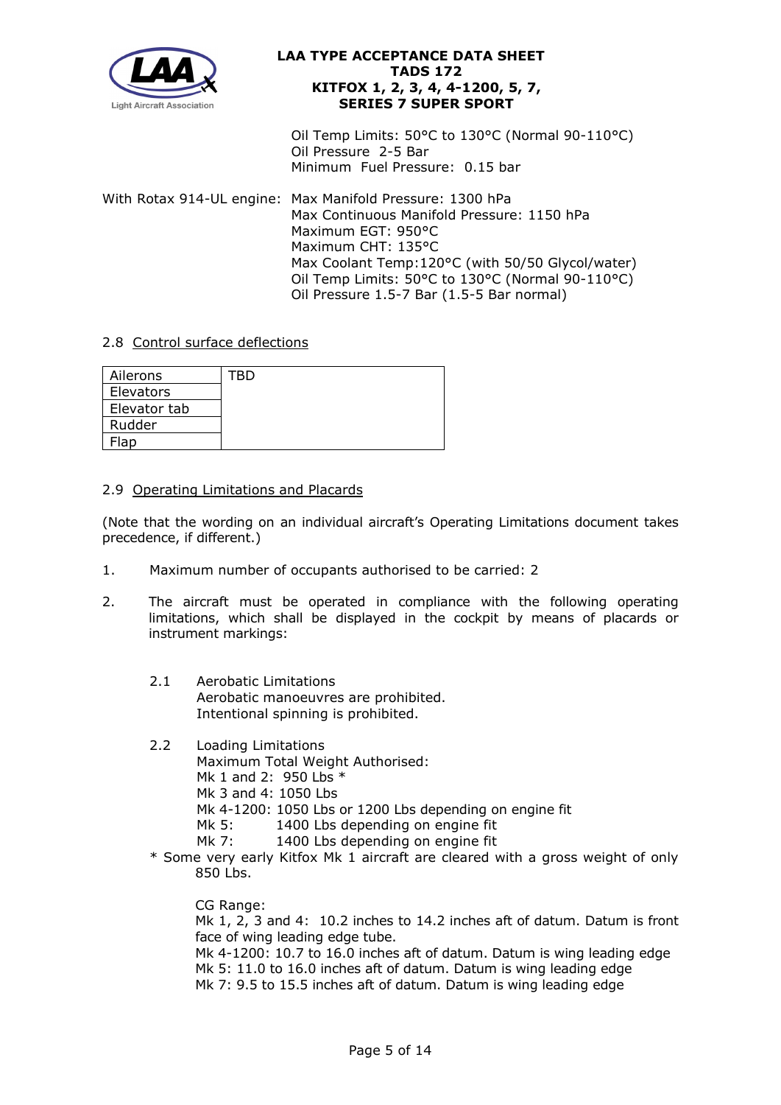

Oil Temp Limits: 50°C to 130°C (Normal 90-110°C) Oil Pressure 2-5 Bar Minimum Fuel Pressure: 0.15 bar

With Rotax 914-UL engine: Max Manifold Pressure: 1300 hPa Max Continuous Manifold Pressure: 1150 hPa Maximum EGT: 950°C Maximum CHT: 135°C Max Coolant Temp:120°C (with 50/50 Glycol/water) Oil Temp Limits: 50°C to 130°C (Normal 90-110°C) Oil Pressure 1.5-7 Bar (1.5-5 Bar normal)

# 2.8 Control surface deflections

| Ailerons     | FBD |
|--------------|-----|
| Elevators    |     |
| Elevator tab |     |
| Rudder       |     |
| Flap         |     |

## 2.9 Operating Limitations and Placards

(Note that the wording on an individual aircraft's Operating Limitations document takes precedence, if different.)

- 1. Maximum number of occupants authorised to be carried: 2
- 2. The aircraft must be operated in compliance with the following operating limitations, which shall be displayed in the cockpit by means of placards or instrument markings:
	- 2.1 Aerobatic Limitations Aerobatic manoeuvres are prohibited. Intentional spinning is prohibited.
	- 2.2 Loading Limitations
		- Maximum Total Weight Authorised:
		- Mk 1 and 2: 950 Lbs \*
		- Mk 3 and 4: 1050 Lbs
		- Mk 4-1200: 1050 Lbs or 1200 Lbs depending on engine fit
		- Mk 5: 1400 Lbs depending on engine fit
		- Mk 7: 1400 Lbs depending on engine fit
	- \* Some very early Kitfox Mk 1 aircraft are cleared with a gross weight of only 850 Lbs.

CG Range:

Mk 1, 2, 3 and 4: 10.2 inches to 14.2 inches aft of datum. Datum is front face of wing leading edge tube.

Mk 4-1200: 10.7 to 16.0 inches aft of datum. Datum is wing leading edge Mk 5: 11.0 to 16.0 inches aft of datum. Datum is wing leading edge Mk 7: 9.5 to 15.5 inches aft of datum. Datum is wing leading edge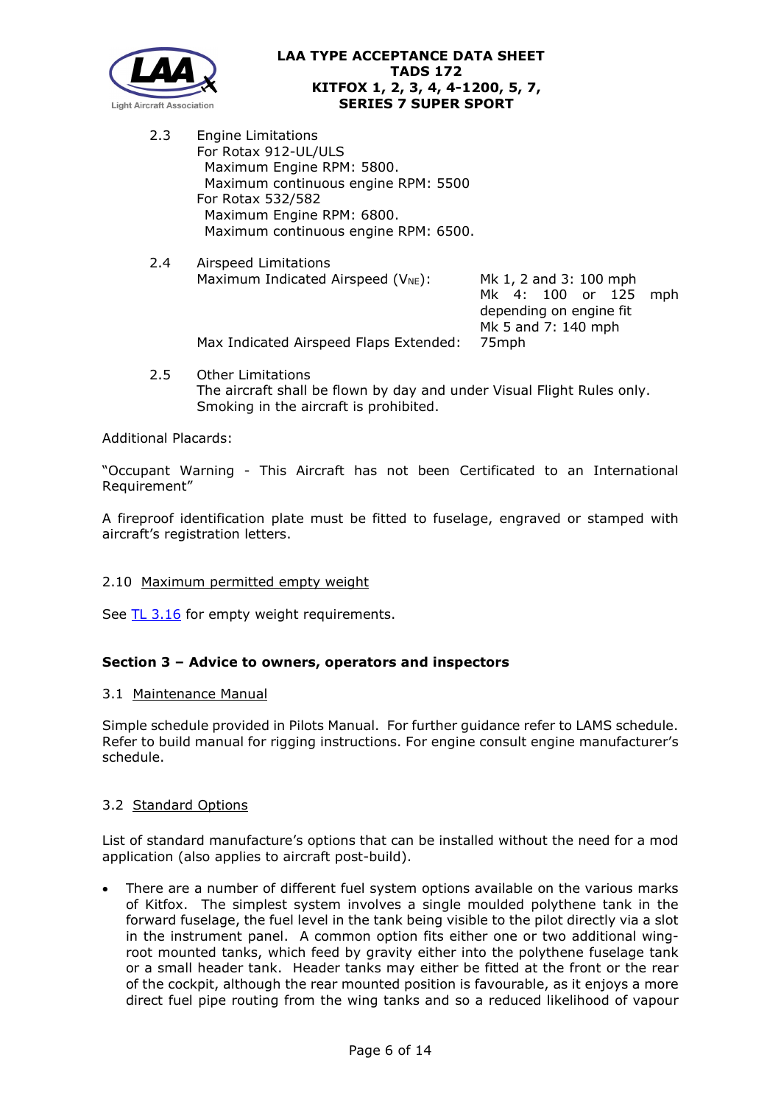

2.3 Engine Limitations For Rotax 912-UL/ULS Maximum Engine RPM: 5800. Maximum continuous engine RPM: 5500 For Rotax 532/582 Maximum Engine RPM: 6800. Maximum continuous engine RPM: 6500.

Smoking in the aircraft is prohibited.

- 2.4 Airspeed Limitations Maximum Indicated Airspeed ( $V_{NE}$ ): Mk 1, 2 and 3: 100 mph Mk 4: 100 or 125 mph depending on engine fit Mk 5 and 7: 140 mph Max Indicated Airspeed Flaps Extended: 75mph
- 2.5 Other Limitations The aircraft shall be flown by day and under Visual Flight Rules only.

Additional Placards:

"Occupant Warning - This Aircraft has not been Certificated to an International Requirement"

A fireproof identification plate must be fitted to fuselage, engraved or stamped with aircraft's registration letters.

#### 2.10 Maximum permitted empty weight

See [TL 3.16](http://www.lightaircraftassociation.co.uk/engineering/TechnicalLeaflets/Mods%20and%20Repairs/TL%203.16%20Weight%20and%20Balance%20Guidance%20Notes.pdf) for empty weight requirements.

#### **Section 3 – Advice to owners, operators and inspectors**

#### 3.1Maintenance Manual

Simple schedule provided in Pilots Manual. For further guidance refer to LAMS schedule. Refer to build manual for rigging instructions. For engine consult engine manufacturer's schedule.

#### 3.2 Standard Options

List of standard manufacture's options that can be installed without the need for a mod application (also applies to aircraft post-build).

There are a number of different fuel system options available on the various marks of Kitfox. The simplest system involves a single moulded polythene tank in the forward fuselage, the fuel level in the tank being visible to the pilot directly via a slot in the instrument panel. A common option fits either one or two additional wingroot mounted tanks, which feed by gravity either into the polythene fuselage tank or a small header tank. Header tanks may either be fitted at the front or the rear of the cockpit, although the rear mounted position is favourable, as it enjoys a more direct fuel pipe routing from the wing tanks and so a reduced likelihood of vapour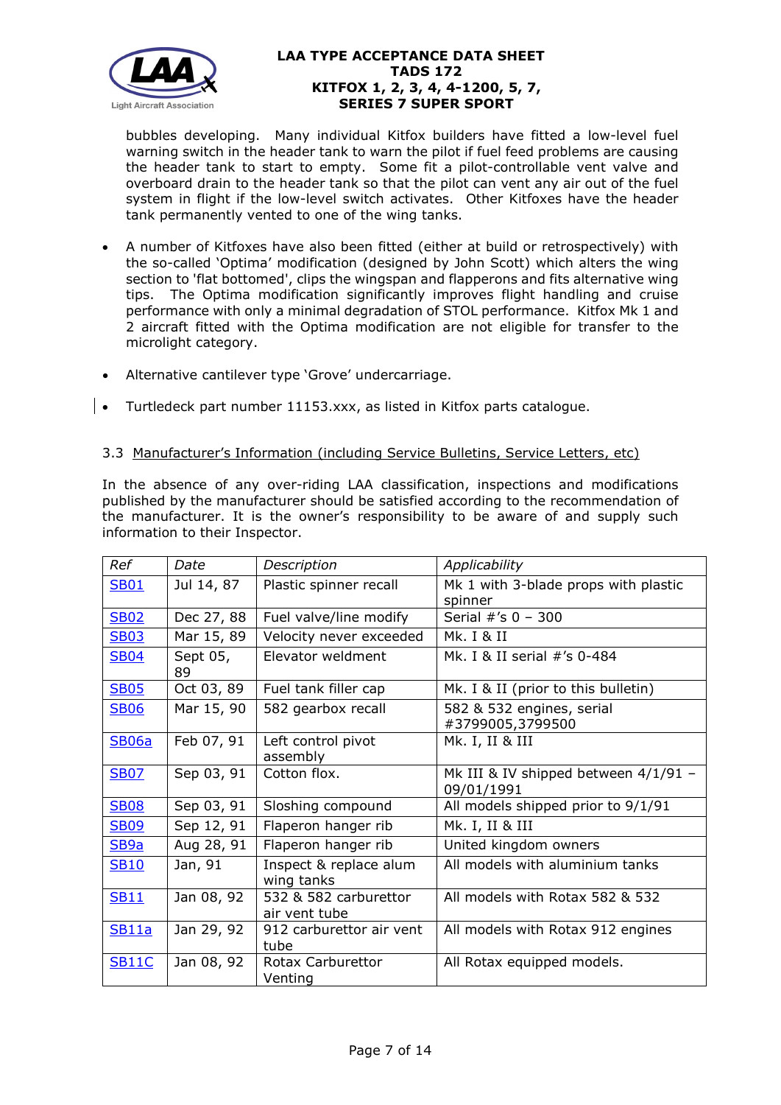

bubbles developing. Many individual Kitfox builders have fitted a low-level fuel warning switch in the header tank to warn the pilot if fuel feed problems are causing the header tank to start to empty. Some fit a pilot-controllable vent valve and overboard drain to the header tank so that the pilot can vent any air out of the fuel system in flight if the low-level switch activates. Other Kitfoxes have the header tank permanently vented to one of the wing tanks.

- A number of Kitfoxes have also been fitted (either at build or retrospectively) with the so-called 'Optima' modification (designed by John Scott) which alters the wing section to 'flat bottomed', clips the wingspan and flapperons and fits alternative wing tips. The Optima modification significantly improves flight handling and cruise performance with only a minimal degradation of STOL performance. Kitfox Mk 1 and 2 aircraft fitted with the Optima modification are not eligible for transfer to the microlight category.
- Alternative cantilever type 'Grove' undercarriage.
- **•** Turtledeck part number 11153.xxx, as listed in Kitfox parts catalogue.

## 3.3 Manufacturer's Information (including Service Bulletins, Service Letters, etc)

In the absence of any over-riding LAA classification, inspections and modifications published by the manufacturer should be satisfied according to the recommendation of the manufacturer. It is the owner's responsibility to be aware of and supply such information to their Inspector.

| Ref              | Date           | Description                            | Applicability                                      |
|------------------|----------------|----------------------------------------|----------------------------------------------------|
| <b>SB01</b>      | Jul 14, 87     | Plastic spinner recall                 | Mk 1 with 3-blade props with plastic               |
|                  |                |                                        | spinner                                            |
| <b>SB02</b>      | Dec 27, 88     | Fuel valve/line modify                 | Serial #'s 0 - 300                                 |
| <b>SB03</b>      | Mar 15, 89     | Velocity never exceeded                | Mk. I & II                                         |
| <b>SB04</b>      | Sept 05,<br>89 | Elevator weldment                      | Mk. I & II serial #'s 0-484                        |
| <b>SB05</b>      | Oct 03, 89     | Fuel tank filler cap                   | Mk. I & II (prior to this bulletin)                |
| <b>SB06</b>      | Mar 15, 90     | 582 gearbox recall                     | 582 & 532 engines, serial<br>#3799005,3799500      |
| <b>SB06a</b>     | Feb 07, 91     | Left control pivot<br>assembly         | Mk. I, II & III                                    |
| <b>SB07</b>      | Sep 03, 91     | Cotton flox.                           | Mk III & IV shipped between 4/1/91 -<br>09/01/1991 |
| <b>SB08</b>      | Sep 03, 91     | Sloshing compound                      | All models shipped prior to 9/1/91                 |
| <b>SB09</b>      | Sep 12, 91     | Flaperon hanger rib                    | Mk. I, II & III                                    |
| SB <sub>9a</sub> | Aug 28, 91     | Flaperon hanger rib                    | United kingdom owners                              |
| <b>SB10</b>      | Jan, 91        | Inspect & replace alum<br>wing tanks   | All models with aluminium tanks                    |
| <b>SB11</b>      | Jan 08, 92     | 532 & 582 carburettor<br>air vent tube | All models with Rotax 582 & 532                    |
| <b>SB11a</b>     | Jan 29, 92     | 912 carburettor air vent<br>tube       | All models with Rotax 912 engines                  |
| <b>SB11C</b>     | Jan 08, 92     | Rotax Carburettor<br>Venting           | All Rotax equipped models.                         |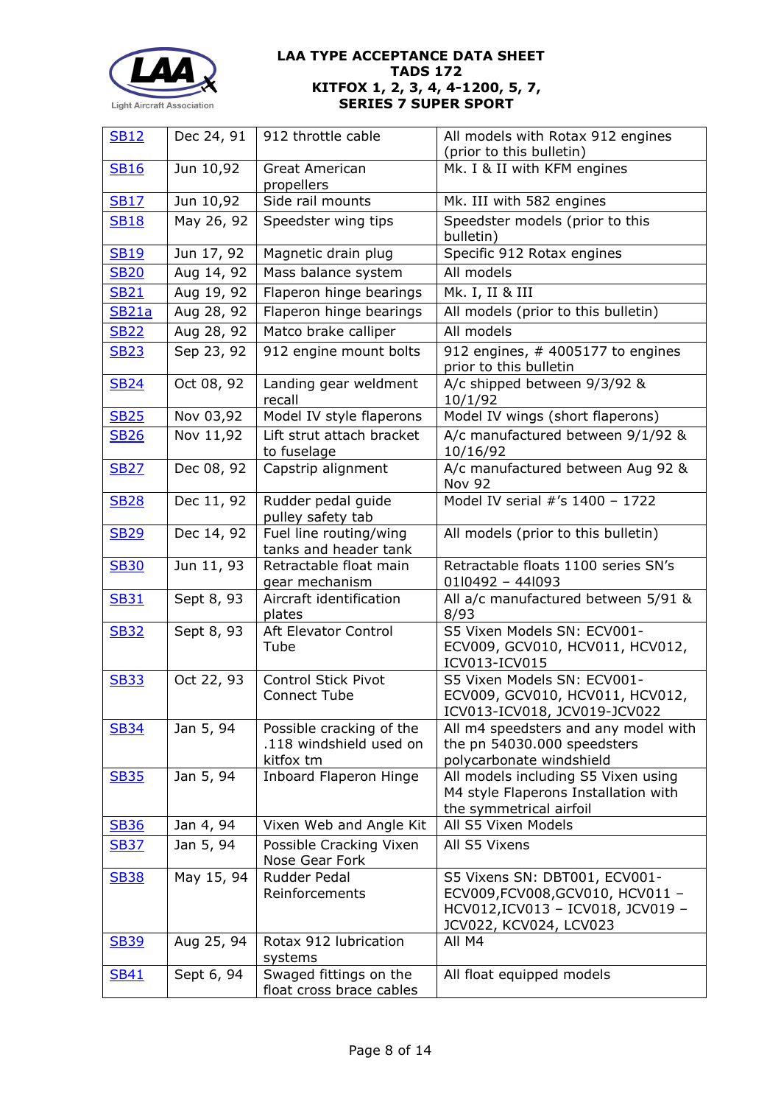

| <b>SB12</b>  | Dec 24, 91 | 912 throttle cable                                               | All models with Rotax 912 engines<br>(prior to this bulletin)                                                                    |
|--------------|------------|------------------------------------------------------------------|----------------------------------------------------------------------------------------------------------------------------------|
| <b>SB16</b>  | Jun 10,92  | Great American<br>propellers                                     | Mk. I & II with KFM engines                                                                                                      |
| <b>SB17</b>  | Jun 10,92  | Side rail mounts                                                 | Mk. III with 582 engines                                                                                                         |
| <b>SB18</b>  | May 26, 92 | Speedster wing tips                                              | Speedster models (prior to this<br>bulletin)                                                                                     |
| <b>SB19</b>  | Jun 17, 92 | Magnetic drain plug                                              | Specific 912 Rotax engines                                                                                                       |
| <b>SB20</b>  | Aug 14, 92 | Mass balance system                                              | All models                                                                                                                       |
| <b>SB21</b>  | Aug 19, 92 | Flaperon hinge bearings                                          | Mk. I, II & III                                                                                                                  |
| <b>SB21a</b> | Aug 28, 92 | Flaperon hinge bearings                                          | All models (prior to this bulletin)                                                                                              |
| <b>SB22</b>  | Aug 28, 92 | Matco brake calliper                                             | All models                                                                                                                       |
| <b>SB23</b>  | Sep 23, 92 | 912 engine mount bolts                                           | 912 engines, # 4005177 to engines<br>prior to this bulletin                                                                      |
| <b>SB24</b>  | Oct 08, 92 | Landing gear weldment<br>recall                                  | A/c shipped between 9/3/92 &<br>10/1/92                                                                                          |
| <b>SB25</b>  | Nov 03,92  | Model IV style flaperons                                         | Model IV wings (short flaperons)                                                                                                 |
| <b>SB26</b>  | Nov 11,92  | Lift strut attach bracket<br>to fuselage                         | A/c manufactured between 9/1/92 &<br>10/16/92                                                                                    |
| <b>SB27</b>  | Dec 08, 92 | Capstrip alignment                                               | A/c manufactured between Aug 92 &<br><b>Nov 92</b>                                                                               |
| <b>SB28</b>  | Dec 11, 92 | Rudder pedal guide<br>pulley safety tab                          | Model IV serial #'s 1400 - 1722                                                                                                  |
| <b>SB29</b>  | Dec 14, 92 | Fuel line routing/wing<br>tanks and header tank                  | All models (prior to this bulletin)                                                                                              |
| <b>SB30</b>  | Jun 11, 93 | Retractable float main<br>gear mechanism                         | Retractable floats 1100 series SN's<br>01l0492 - 44l093                                                                          |
| <b>SB31</b>  | Sept 8, 93 | Aircraft identification<br>plates                                | All a/c manufactured between 5/91 &<br>8/93                                                                                      |
| <b>SB32</b>  | Sept 8, 93 | Aft Elevator Control<br>Tube                                     | S5 Vixen Models SN: ECV001-<br>ECV009, GCV010, HCV011, HCV012,<br>ICV013-ICV015                                                  |
| <b>SB33</b>  | Oct 22, 93 | Control Stick Pivot<br><b>Connect Tube</b>                       | S5 Vixen Models SN: ECV001-<br>ECV009, GCV010, HCV011, HCV012,<br>ICV013-ICV018, JCV019-JCV022                                   |
| <b>SB34</b>  | Jan 5, 94  | Possible cracking of the<br>.118 windshield used on<br>kitfox tm | All m4 speedsters and any model with<br>the pn 54030.000 speedsters<br>polycarbonate windshield                                  |
| <b>SB35</b>  | Jan 5, 94  | <b>Inboard Flaperon Hinge</b>                                    | All models including S5 Vixen using<br>M4 style Flaperons Installation with<br>the symmetrical airfoil                           |
| <b>SB36</b>  | Jan 4, 94  | Vixen Web and Angle Kit                                          | All S5 Vixen Models                                                                                                              |
| <b>SB37</b>  | Jan 5, 94  | Possible Cracking Vixen<br>Nose Gear Fork                        | All S5 Vixens                                                                                                                    |
| <b>SB38</b>  | May 15, 94 | Rudder Pedal<br>Reinforcements                                   | S5 Vixens SN: DBT001, ECV001-<br>ECV009, FCV008, GCV010, HCV011 -<br>HCV012, ICV013 - ICV018, JCV019 -<br>JCV022, KCV024, LCV023 |
| <b>SB39</b>  | Aug 25, 94 | Rotax 912 lubrication<br>systems                                 | All M4                                                                                                                           |
| <b>SB41</b>  | Sept 6, 94 | Swaged fittings on the<br>float cross brace cables               | All float equipped models                                                                                                        |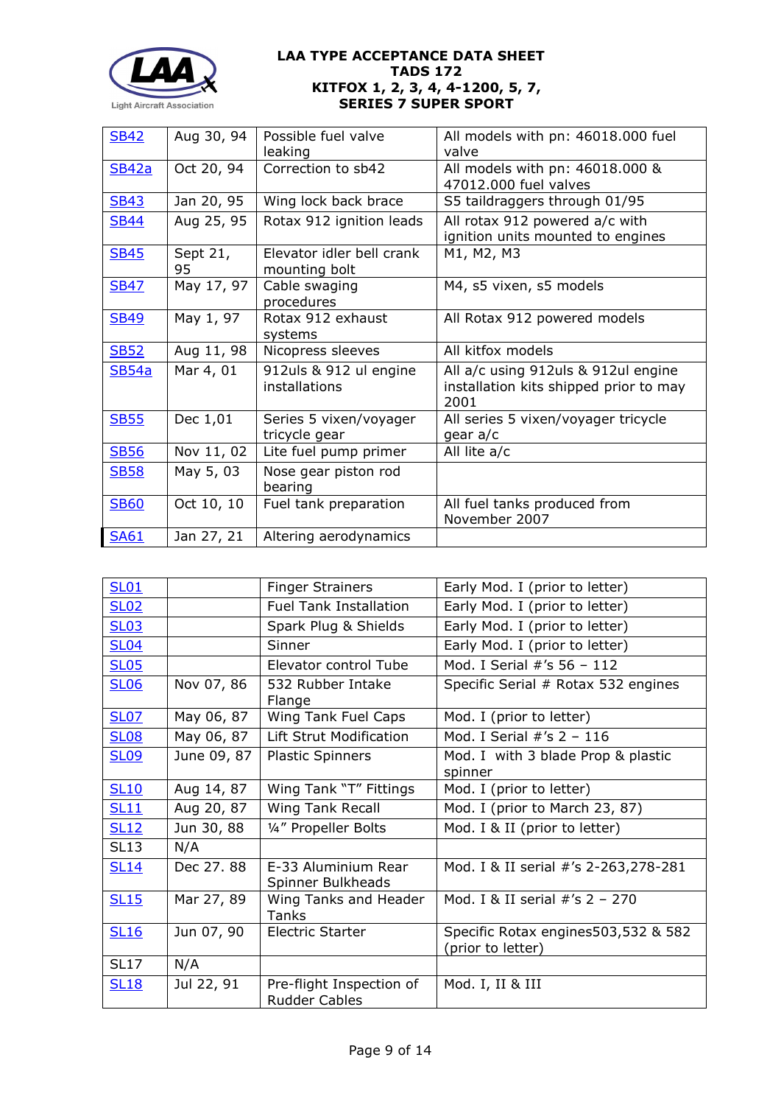

| <b>SB42</b> | Aug 30, 94     | Possible fuel valve<br>leaking             | All models with pn: 46018.000 fuel<br>valve                                           |
|-------------|----------------|--------------------------------------------|---------------------------------------------------------------------------------------|
| SB42a       | Oct 20, 94     | Correction to sb42                         | All models with pn: 46018.000 &<br>47012.000 fuel valves                              |
| <b>SB43</b> | Jan 20, 95     | Wing lock back brace                       | S5 taildraggers through 01/95                                                         |
| <b>SB44</b> | Aug 25, 95     | Rotax 912 ignition leads                   | All rotax 912 powered a/c with<br>ignition units mounted to engines                   |
| <b>SB45</b> | Sept 21,<br>95 | Elevator idler bell crank<br>mounting bolt | M1, M2, M3                                                                            |
| <b>SB47</b> | May 17, 97     | Cable swaging<br>procedures                | M4, s5 vixen, s5 models                                                               |
| <b>SB49</b> | May 1, 97      | Rotax 912 exhaust<br>systems               | All Rotax 912 powered models                                                          |
| <b>SB52</b> | Aug 11, 98     | Nicopress sleeves                          | All kitfox models                                                                     |
| SB54a       | Mar 4, 01      | 912uls & 912 ul engine<br>installations    | All a/c using 912uls & 912ul engine<br>installation kits shipped prior to may<br>2001 |
| <b>SB55</b> | Dec 1,01       | Series 5 vixen/voyager<br>tricycle gear    | All series 5 vixen/voyager tricycle<br>gear a/c                                       |
| <b>SB56</b> | Nov 11, 02     | Lite fuel pump primer                      | All lite a/c                                                                          |
| <b>SB58</b> | May 5, 03      | Nose gear piston rod<br>bearing            |                                                                                       |
| <b>SB60</b> | Oct 10, 10     | Fuel tank preparation                      | All fuel tanks produced from<br>November 2007                                         |
| <b>SA61</b> | Jan 27, 21     | Altering aerodynamics                      |                                                                                       |

| <b>SL01</b> |             | <b>Finger Strainers</b>                          | Early Mod. I (prior to letter)                           |
|-------------|-------------|--------------------------------------------------|----------------------------------------------------------|
| <b>SL02</b> |             | <b>Fuel Tank Installation</b>                    | Early Mod. I (prior to letter)                           |
| <b>SL03</b> |             | Spark Plug & Shields                             | Early Mod. I (prior to letter)                           |
| <b>SL04</b> |             | Sinner                                           | Early Mod. I (prior to letter)                           |
| <b>SL05</b> |             | Elevator control Tube                            | Mod. I Serial #'s 56 - 112                               |
| <b>SL06</b> | Nov 07, 86  | 532 Rubber Intake<br>Flange                      | Specific Serial # Rotax 532 engines                      |
| <b>SL07</b> | May 06, 87  | Wing Tank Fuel Caps                              | Mod. I (prior to letter)                                 |
| <b>SL08</b> | May 06, 87  | Lift Strut Modification                          | Mod. I Serial $\#$ 's 2 - 116                            |
| <b>SL09</b> | June 09, 87 | <b>Plastic Spinners</b>                          | Mod. I with 3 blade Prop & plastic<br>spinner            |
| <b>SL10</b> | Aug 14, 87  | Wing Tank "T" Fittings                           | Mod. I (prior to letter)                                 |
| <b>SL11</b> | Aug 20, 87  | <b>Wing Tank Recall</b>                          | Mod. I (prior to March 23, 87)                           |
| <b>SL12</b> | Jun 30, 88  | 1/4" Propeller Bolts                             | Mod. I & II (prior to letter)                            |
| <b>SL13</b> | N/A         |                                                  |                                                          |
| <b>SL14</b> | Dec 27.88   | E-33 Aluminium Rear<br>Spinner Bulkheads         | Mod. I & II serial #'s 2-263,278-281                     |
| <b>SL15</b> | Mar 27, 89  | Wing Tanks and Header<br>Tanks                   | Mod. I & II serial $\#$ 's 2 - 270                       |
| <b>SL16</b> | Jun 07, 90  | Electric Starter                                 | Specific Rotax engines503,532 & 582<br>(prior to letter) |
| <b>SL17</b> | N/A         |                                                  |                                                          |
| <b>SL18</b> | Jul 22, 91  | Pre-flight Inspection of<br><b>Rudder Cables</b> | Mod. I, II & III                                         |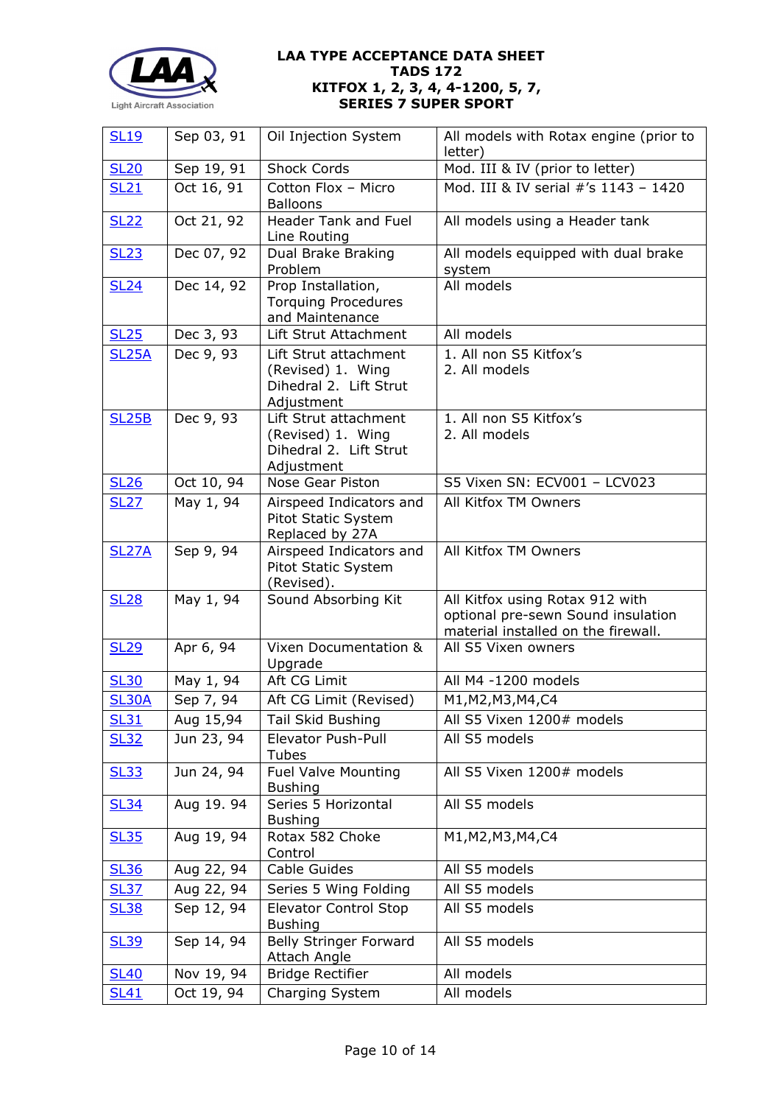

| <b>SL19</b>      | Sep 03, 91 | Oil Injection System                                                               | All models with Rotax engine (prior to<br>letter)                                                            |
|------------------|------------|------------------------------------------------------------------------------------|--------------------------------------------------------------------------------------------------------------|
| SL <sub>20</sub> | Sep 19, 91 | <b>Shock Cords</b>                                                                 | Mod. III & IV (prior to letter)                                                                              |
| SL21             | Oct 16, 91 | Cotton Flox - Micro<br><b>Balloons</b>                                             | Mod. III & IV serial #'s 1143 - 1420                                                                         |
| <b>SL22</b>      | Oct 21, 92 | Header Tank and Fuel<br>Line Routing                                               | All models using a Header tank                                                                               |
| <b>SL23</b>      | Dec 07, 92 | Dual Brake Braking<br>Problem                                                      | All models equipped with dual brake<br>system                                                                |
| <b>SL24</b>      | Dec 14, 92 | Prop Installation,<br><b>Torquing Procedures</b><br>and Maintenance                | All models                                                                                                   |
| <b>SL25</b>      | Dec 3, 93  | Lift Strut Attachment                                                              | All models                                                                                                   |
| <b>SL25A</b>     | Dec 9, 93  | Lift Strut attachment<br>(Revised) 1. Wing<br>Dihedral 2. Lift Strut<br>Adjustment | 1. All non S5 Kitfox's<br>2. All models                                                                      |
| <b>SL25B</b>     | Dec 9, 93  | Lift Strut attachment<br>(Revised) 1. Wing<br>Dihedral 2. Lift Strut<br>Adjustment | 1. All non S5 Kitfox's<br>2. All models                                                                      |
| <b>SL26</b>      | Oct 10, 94 | Nose Gear Piston                                                                   | S5 Vixen SN: ECV001 - LCV023                                                                                 |
| <b>SL27</b>      | May 1, 94  | Airspeed Indicators and<br>Pitot Static System<br>Replaced by 27A                  | All Kitfox TM Owners                                                                                         |
| <b>SL27A</b>     | Sep 9, 94  | Airspeed Indicators and<br>Pitot Static System<br>(Revised).                       | All Kitfox TM Owners                                                                                         |
| <b>SL28</b>      | May 1, 94  | Sound Absorbing Kit                                                                | All Kitfox using Rotax 912 with<br>optional pre-sewn Sound insulation<br>material installed on the firewall. |
| <b>SL29</b>      | Apr 6, 94  | Vixen Documentation &<br>Upgrade                                                   | All S5 Vixen owners                                                                                          |
| <b>SL30</b>      | May 1, 94  | Aft CG Limit                                                                       | All M4 -1200 models                                                                                          |
| <b>SL30A</b>     | Sep 7, 94  | Aft CG Limit (Revised)                                                             | M1, M2, M3, M4, C4                                                                                           |
| <b>SL31</b>      | Aug 15,94  | Tail Skid Bushing                                                                  | All S5 Vixen 1200# models                                                                                    |
| <b>SL32</b>      | Jun 23, 94 | <b>Elevator Push-Pull</b><br>Tubes                                                 | All S5 models                                                                                                |
| <b>SL33</b>      | Jun 24, 94 | <b>Fuel Valve Mounting</b><br><b>Bushing</b>                                       | All S5 Vixen 1200# models                                                                                    |
| <b>SL34</b>      | Aug 19.94  | Series 5 Horizontal<br><b>Bushing</b>                                              | All S5 models                                                                                                |
| <b>SL35</b>      | Aug 19, 94 | Rotax 582 Choke<br>Control                                                         | M1, M2, M3, M4, C4                                                                                           |
| <b>SL36</b>      | Aug 22, 94 | <b>Cable Guides</b>                                                                | All S5 models                                                                                                |
| <b>SL37</b>      | Aug 22, 94 | Series 5 Wing Folding                                                              | All S5 models                                                                                                |
| <b>SL38</b>      | Sep 12, 94 | <b>Elevator Control Stop</b><br><b>Bushing</b>                                     | All S5 models                                                                                                |
| <b>SL39</b>      | Sep 14, 94 | <b>Belly Stringer Forward</b><br>Attach Angle                                      | All S5 models                                                                                                |
| <b>SL40</b>      | Nov 19, 94 | <b>Bridge Rectifier</b>                                                            | All models                                                                                                   |
| <b>SL41</b>      | Oct 19, 94 | Charging System                                                                    | All models                                                                                                   |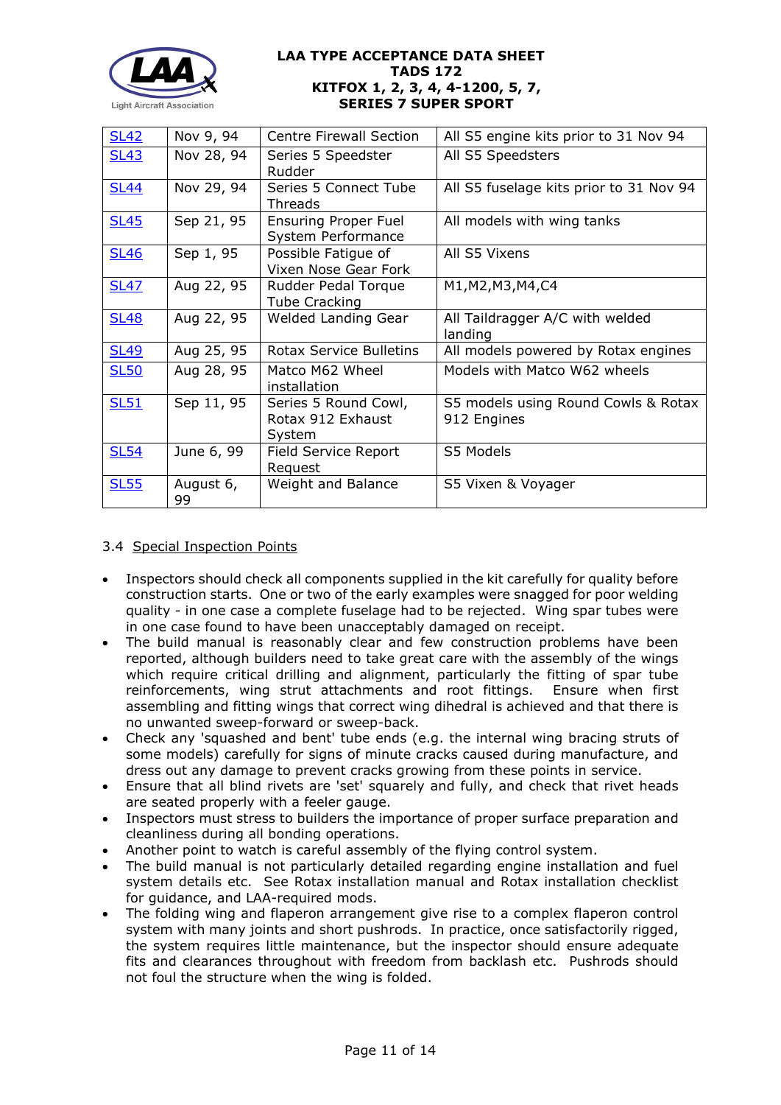

| <b>SL42</b> | Nov 9, 94       | <b>Centre Firewall Section</b>                      | All S5 engine kits prior to 31 Nov 94              |
|-------------|-----------------|-----------------------------------------------------|----------------------------------------------------|
| <b>SL43</b> | Nov 28, 94      | Series 5 Speedster<br>Rudder                        | All S5 Speedsters                                  |
| <b>SL44</b> | Nov 29, 94      | Series 5 Connect Tube<br>Threads                    | All S5 fuselage kits prior to 31 Nov 94            |
| <b>SL45</b> | Sep 21, 95      | <b>Ensuring Proper Fuel</b><br>System Performance   | All models with wing tanks                         |
| <b>SL46</b> | Sep 1, 95       | Possible Fatigue of<br>Vixen Nose Gear Fork         | All S5 Vixens                                      |
| <b>SL47</b> | Aug 22, 95      | Rudder Pedal Torque<br><b>Tube Cracking</b>         | M1, M2, M3, M4, C4                                 |
| <b>SL48</b> | Aug 22, 95      | Welded Landing Gear                                 | All Taildragger A/C with welded<br>landing         |
| <b>SL49</b> | Aug 25, 95      | Rotax Service Bulletins                             | All models powered by Rotax engines                |
| <b>SL50</b> | Aug 28, 95      | Matco M62 Wheel<br>installation                     | Models with Matco W62 wheels                       |
| <b>SL51</b> | Sep 11, 95      | Series 5 Round Cowl,<br>Rotax 912 Exhaust<br>System | S5 models using Round Cowls & Rotax<br>912 Engines |
| <b>SL54</b> | June 6, 99      | <b>Field Service Report</b><br>Request              | S5 Models                                          |
| <b>SL55</b> | August 6,<br>99 | Weight and Balance                                  | S5 Vixen & Voyager                                 |

## 3.4 Special Inspection Points

- Inspectors should check all components supplied in the kit carefully for quality before construction starts. One or two of the early examples were snagged for poor welding quality - in one case a complete fuselage had to be rejected. Wing spar tubes were in one case found to have been unacceptably damaged on receipt.
- The build manual is reasonably clear and few construction problems have been reported, although builders need to take great care with the assembly of the wings which require critical drilling and alignment, particularly the fitting of spar tube reinforcements, wing strut attachments and root fittings. Ensure when first assembling and fitting wings that correct wing dihedral is achieved and that there is no unwanted sweep-forward or sweep-back.
- Check any 'squashed and bent' tube ends (e.g. the internal wing bracing struts of some models) carefully for signs of minute cracks caused during manufacture, and dress out any damage to prevent cracks growing from these points in service.
- Ensure that all blind rivets are 'set' squarely and fully, and check that rivet heads are seated properly with a feeler gauge.
- Inspectors must stress to builders the importance of proper surface preparation and cleanliness during all bonding operations.
- Another point to watch is careful assembly of the flying control system.
- The build manual is not particularly detailed regarding engine installation and fuel system details etc. See Rotax installation manual and Rotax installation checklist for guidance, and LAA-required mods.
- The folding wing and flaperon arrangement give rise to a complex flaperon control system with many joints and short pushrods. In practice, once satisfactorily rigged, the system requires little maintenance, but the inspector should ensure adequate fits and clearances throughout with freedom from backlash etc. Pushrods should not foul the structure when the wing is folded.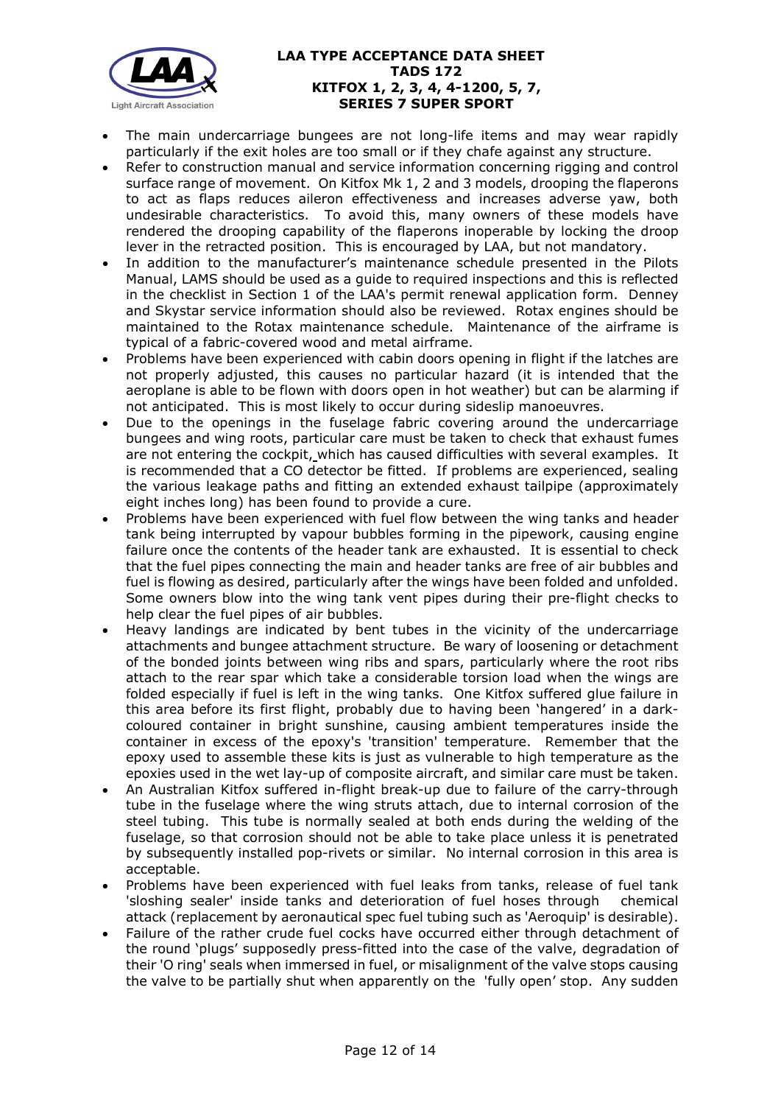

- The main undercarriage bungees are not long-life items and may wear rapidly particularly if the exit holes are too small or if they chafe against any structure.
- Refer to construction manual and service information concerning rigging and control surface range of movement. On Kitfox Mk 1, 2 and 3 models, drooping the flaperons to act as flaps reduces aileron effectiveness and increases adverse yaw, both undesirable characteristics. To avoid this, many owners of these models have rendered the drooping capability of the flaperons inoperable by locking the droop lever in the retracted position. This is encouraged by LAA, but not mandatory.
- In addition to the manufacturer's maintenance schedule presented in the Pilots Manual, LAMS should be used as a guide to required inspections and this is reflected in the checklist in Section 1 of the LAA's permit renewal application form. Denney and Skystar service information should also be reviewed. Rotax engines should be maintained to the Rotax maintenance schedule. Maintenance of the airframe is typical of a fabric-covered wood and metal airframe.
- Problems have been experienced with cabin doors opening in flight if the latches are not properly adjusted, this causes no particular hazard (it is intended that the aeroplane is able to be flown with doors open in hot weather) but can be alarming if not anticipated. This is most likely to occur during sideslip manoeuvres.
- Due to the openings in the fuselage fabric covering around the undercarriage bungees and wing roots, particular care must be taken to check that exhaust fumes are not entering the cockpit, which has caused difficulties with several examples. It is recommended that a CO detector be fitted. If problems are experienced, sealing the various leakage paths and fitting an extended exhaust tailpipe (approximately eight inches long) has been found to provide a cure.
- Problems have been experienced with fuel flow between the wing tanks and header tank being interrupted by vapour bubbles forming in the pipework, causing engine failure once the contents of the header tank are exhausted. It is essential to check that the fuel pipes connecting the main and header tanks are free of air bubbles and fuel is flowing as desired, particularly after the wings have been folded and unfolded. Some owners blow into the wing tank vent pipes during their pre-flight checks to help clear the fuel pipes of air bubbles.
- Heavy landings are indicated by bent tubes in the vicinity of the undercarriage attachments and bungee attachment structure. Be wary of loosening or detachment of the bonded joints between wing ribs and spars, particularly where the root ribs attach to the rear spar which take a considerable torsion load when the wings are folded especially if fuel is left in the wing tanks. One Kitfox suffered glue failure in this area before its first flight, probably due to having been 'hangered' in a darkcoloured container in bright sunshine, causing ambient temperatures inside the container in excess of the epoxy's 'transition' temperature. Remember that the epoxy used to assemble these kits is just as vulnerable to high temperature as the epoxies used in the wet lay-up of composite aircraft, and similar care must be taken.
- An Australian Kitfox suffered in-flight break-up due to failure of the carry-through tube in the fuselage where the wing struts attach, due to internal corrosion of the steel tubing. This tube is normally sealed at both ends during the welding of the fuselage, so that corrosion should not be able to take place unless it is penetrated by subsequently installed pop-rivets or similar. No internal corrosion in this area is acceptable.
- Problems have been experienced with fuel leaks from tanks, release of fuel tank 'sloshing sealer' inside tanks and deterioration of fuel hoses through chemical attack (replacement by aeronautical spec fuel tubing such as 'Aeroquip' is desirable).
- Failure of the rather crude fuel cocks have occurred either through detachment of the round 'plugs' supposedly press-fitted into the case of the valve, degradation of their 'O ring' seals when immersed in fuel, or misalignment of the valve stops causing the valve to be partially shut when apparently on the 'fully open' stop. Any sudden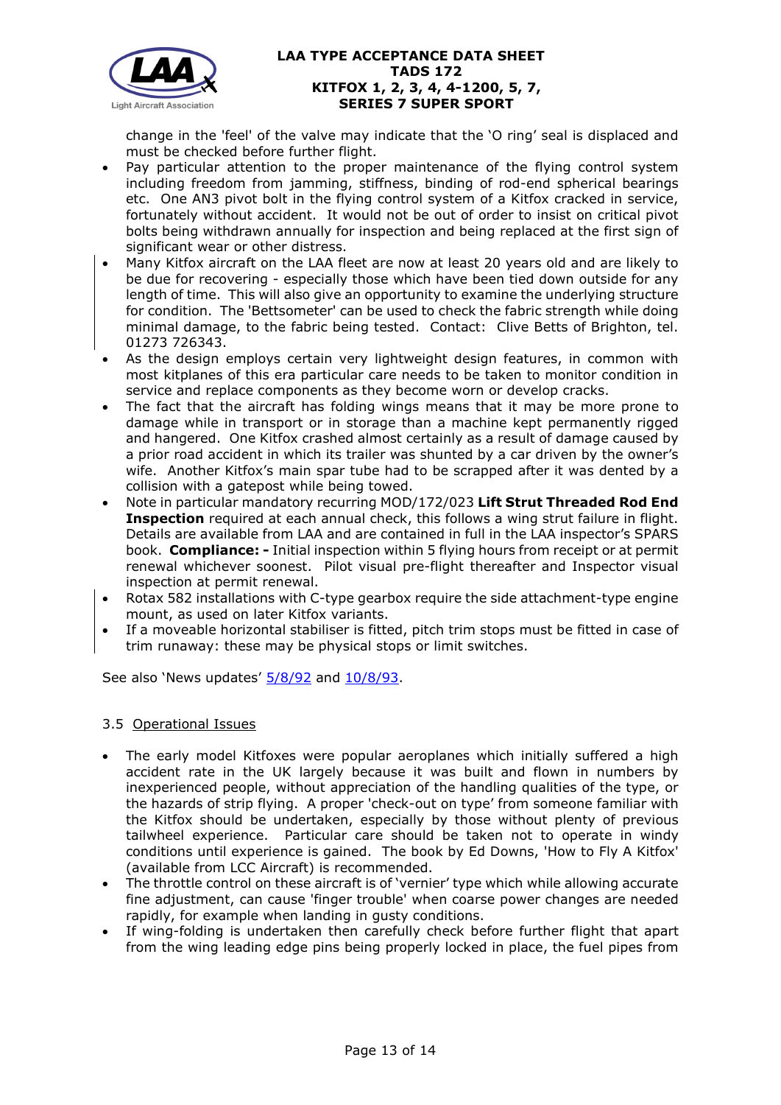

change in the 'feel' of the valve may indicate that the 'O ring' seal is displaced and must be checked before further flight.

- Pay particular attention to the proper maintenance of the flying control system including freedom from jamming, stiffness, binding of rod-end spherical bearings etc. One AN3 pivot bolt in the flying control system of a Kitfox cracked in service, fortunately without accident. It would not be out of order to insist on critical pivot bolts being withdrawn annually for inspection and being replaced at the first sign of significant wear or other distress.
- Many Kitfox aircraft on the LAA fleet are now at least 20 years old and are likely to be due for recovering - especially those which have been tied down outside for any length of time. This will also give an opportunity to examine the underlying structure for condition. The 'Bettsometer' can be used to check the fabric strength while doing minimal damage, to the fabric being tested. Contact: Clive Betts of Brighton, tel. 01273 726343.
- As the design employs certain very lightweight design features, in common with most kitplanes of this era particular care needs to be taken to monitor condition in service and replace components as they become worn or develop cracks.
- The fact that the aircraft has folding wings means that it may be more prone to damage while in transport or in storage than a machine kept permanently rigged and hangered. One Kitfox crashed almost certainly as a result of damage caused by a prior road accident in which its trailer was shunted by a car driven by the owner's wife. Another Kitfox's main spar tube had to be scrapped after it was dented by a collision with a gatepost while being towed.
- Note in particular mandatory recurring MOD/172/023 **Lift Strut Threaded Rod End Inspection** required at each annual check, this follows a wing strut failure in flight. Details are available from LAA and are contained in full in the LAA inspector's SPARS book. **Compliance: -** Initial inspection within 5 flying hours from receipt or at permit renewal whichever soonest. Pilot visual pre-flight thereafter and Inspector visual inspection at permit renewal.
- Rotax 582 installations with C-type gearbox require the side attachment-type engine mount, as used on later Kitfox variants.
- If a moveable horizontal stabiliser is fitted, pitch trim stops must be fitted in case of trim runaway: these may be physical stops or limit switches.

See also 'News updates'  $\frac{5}{8/92}$  and  $\frac{10}{8/93}$ .

# 3.5 Operational Issues

- The early model Kitfoxes were popular aeroplanes which initially suffered a high accident rate in the UK largely because it was built and flown in numbers by inexperienced people, without appreciation of the handling qualities of the type, or the hazards of strip flying. A proper 'check-out on type' from someone familiar with the Kitfox should be undertaken, especially by those without plenty of previous tailwheel experience. Particular care should be taken not to operate in windy conditions until experience is gained. The book by Ed Downs, 'How to Fly A Kitfox' (available from LCC Aircraft) is recommended.
- The throttle control on these aircraft is of 'vernier' type which while allowing accurate fine adjustment, can cause 'finger trouble' when coarse power changes are needed rapidly, for example when landing in gusty conditions.
- If wing-folding is undertaken then carefully check before further flight that apart from the wing leading edge pins being properly locked in place, the fuel pipes from